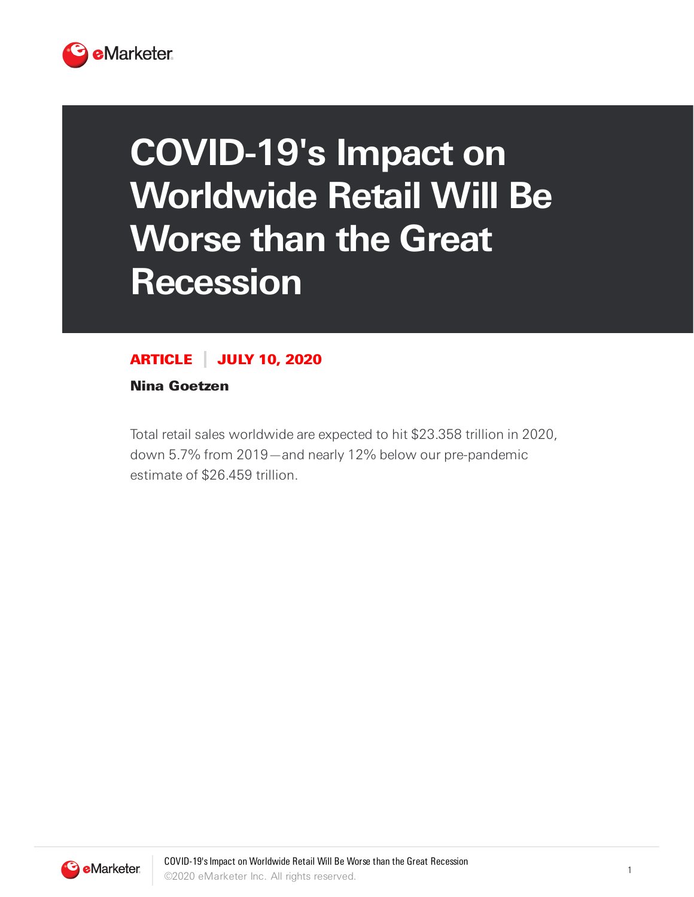

## **COVID-19's Impact on Worldwide Retail Will Be Worse than the Great Recession**

## ARTICLE JULY 10, 2020

Nina Goetzen

Total retail sales worldwide are expected to hit \$23.358 trillion in 2020, down 5.7% from 2019—and nearly 12% below our pre-pandemic estimate of \$26.459 trillion.

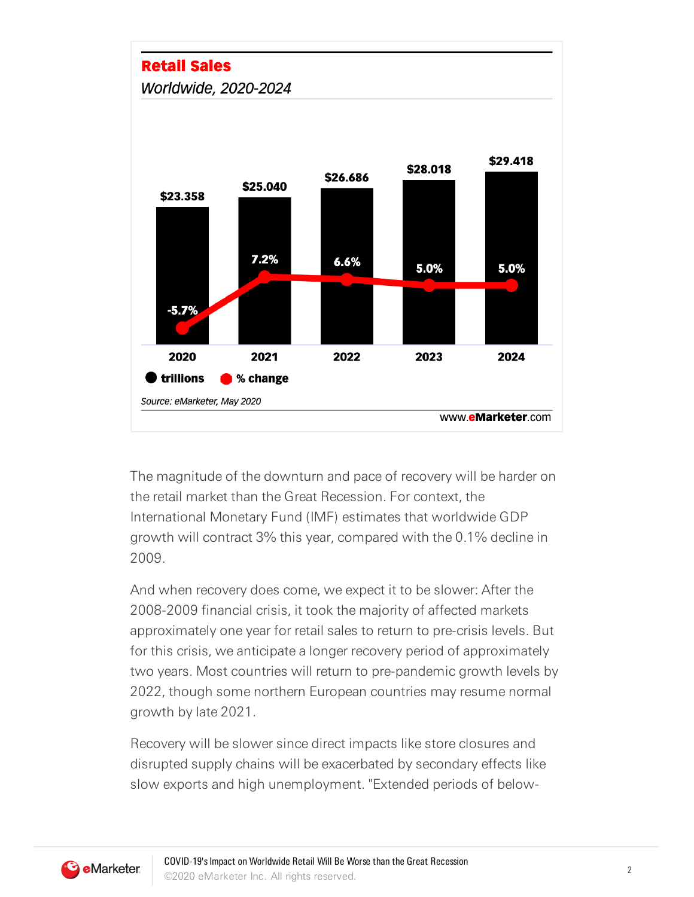

The magnitude of the downturn and pace of recovery will be harder on the retail market than the Great Recession. For context, the International Monetary Fund (IMF) estimates that worldwide GDP growth will contract 3% this year, compared with the 0.1% decline in 2009.

And when recovery does come, we expect it to be slower: After the 2008-2009 financial crisis, it took the majority of affected markets approximately one year for retail sales to return to pre-crisis levels. But for this crisis, we anticipate a longer recovery period of approximately two years. Most countries will return to pre-pandemic growth levels by 2022, though some northern European countries may resume normal growth by late 2021.

Recovery will be slower since direct impacts like store closures and disrupted supply chains will be exacerbated by secondary effects like slow exports and high unemployment. "Extended periods of below-